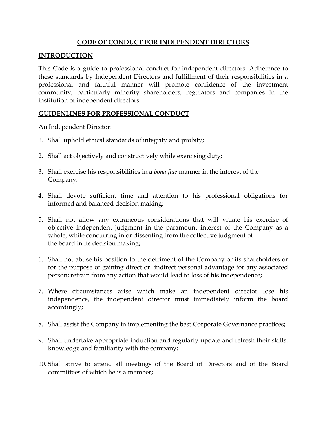## CODE OF CONDUCT FOR INDEPENDENT DIRECTORS

## **INTRODUCTION**

This Code is a guide to professional conduct for independent directors. Adherence to these standards by Independent Directors and fulfillment of their responsibilities in a professional and faithful manner will promote confidence of the investment community, particularly minority shareholders, regulators and companies in the institution of independent directors.

## GUIDENLINES FOR PROFESSIONAL CONDUCT

An Independent Director:

- 1. Shall uphold ethical standards of integrity and probity;
- 2. Shall act objectively and constructively while exercising duty;
- 3. Shall exercise his responsibilities in a bona fide manner in the interest of the Company;
- 4. Shall devote sufficient time and attention to his professional obligations for informed and balanced decision making;
- 5. Shall not allow any extraneous considerations that will vitiate his exercise of objective independent judgment in the paramount interest of the Company as a whole, while concurring in or dissenting from the collective judgment of the board in its decision making;
- 6. Shall not abuse his position to the detriment of the Company or its shareholders or for the purpose of gaining direct or indirect personal advantage for any associated person; refrain from any action that would lead to loss of his independence;
- 7. Where circumstances arise which make an independent director lose his independence, the independent director must immediately inform the board accordingly;
- 8. Shall assist the Company in implementing the best Corporate Governance practices;
- 9. Shall undertake appropriate induction and regularly update and refresh their skills, knowledge and familiarity with the company;
- 10. Shall strive to attend all meetings of the Board of Directors and of the Board committees of which he is a member;